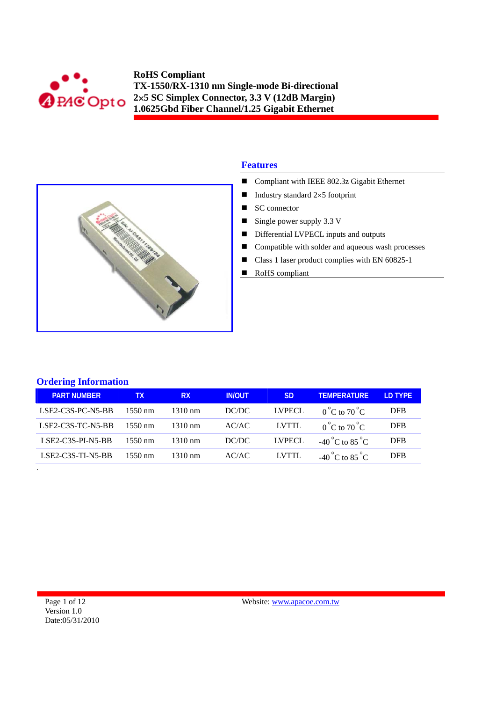



### **Features**

- Compliant with IEEE 802.3z Gigabit Ethernet
- Industry standard  $2\times 5$  footprint
- $\blacksquare$  SC connector
- $\blacksquare$  Single power supply 3.3 V
- Differential LVPECL inputs and outputs
- Compatible with solder and aqueous wash processes
- Class 1 laser product complies with EN 60825-1
- RoHS compliant

|  | <b>Ordering Information</b> |  |
|--|-----------------------------|--|
|  |                             |  |

.

| <b>PART NUMBER</b>  | TX.               | <b>RX</b>         | <b>IN/OUT</b> | SD            | <b>TEMPERATURE</b>              | LD TYPE    |
|---------------------|-------------------|-------------------|---------------|---------------|---------------------------------|------------|
| $LSE2-C3S-PC-NS-BB$ | $1550 \text{ nm}$ | $1310 \text{ nm}$ | DC/DC         | <b>LVPECL</b> | $0^{\circ}$ C to $70^{\circ}$ C | <b>DFB</b> |
| LSE2-C3S-TC-N5-BB   | $1550 \text{ nm}$ | $1310 \text{ nm}$ | AC/AC         | LVTTL         | $0^{\circ}$ C to $70^{\circ}$ C | <b>DFB</b> |
| $LSE2-C3S-PI-NS-BB$ | $1550 \text{ nm}$ | $1310 \text{ nm}$ | DC/DC         | <b>LVPECL</b> | -40 °C to 85 °C                 | <b>DFB</b> |
| $LSE2-C3S-TI-N5-BB$ | $1550 \text{ nm}$ | $1310 \text{ nm}$ | AC/AC         | LVTTL         | -40 °C to 85 $^{\circ}$ C       | <b>DFB</b> |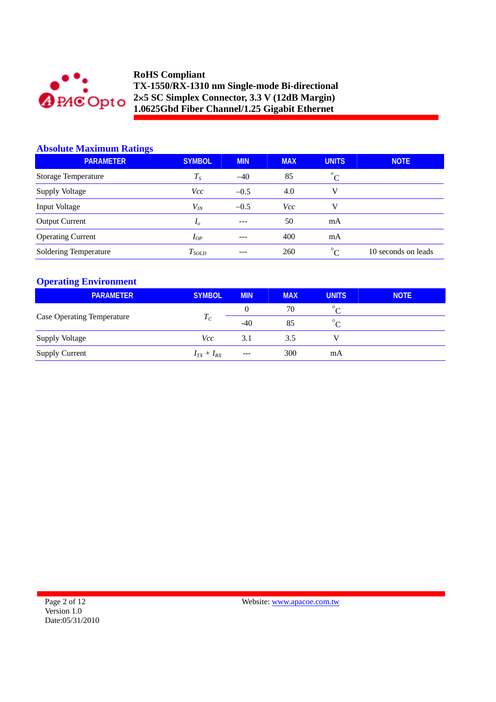

### **Absolute Maximum Ratings**

| <b>PARAMETER</b>           | <b>SYMBOL</b>  | <b>MIN</b> | <b>MAX</b> | <b>UNITS</b> | <b>NOTE</b>         |
|----------------------------|----------------|------------|------------|--------------|---------------------|
| <b>Storage Temperature</b> | $T_{S}$        | $-40$      | 85         | $^{\circ}C$  |                     |
| <b>Supply Voltage</b>      | Vcc            | $-0.5$     | 4.0        | v            |                     |
| Input Voltage              | $V_{I\!N}$     | $-0.5$     | Vcc        | V            |                     |
| <b>Output Current</b>      | I <sub>0</sub> | $---$      | 50         | mA           |                     |
| <b>Operating Current</b>   | $I_{OP}$       | ---        | 400        | mA           |                     |
| Soldering Temperature      | $T_{SOLD}$     | $- - -$    | 260        | $\circ$      | 10 seconds on leads |

# **Operating Environment**

| <b>PARAMETER</b>                  | <b>SYMBOL</b>     | <b>MIN</b> | <b>MAX</b> | <b>UNITS</b>          | <b>NOTE</b> |
|-----------------------------------|-------------------|------------|------------|-----------------------|-------------|
|                                   |                   | 0          | 70         | $\circ$               |             |
| <b>Case Operating Temperature</b> | $T_C$             | $-40$      | 85         | $\circ$<br>$\sqrt{ }$ |             |
| <b>Supply Voltage</b>             | Vcc               | 3.1        | 3.5        |                       |             |
| <b>Supply Current</b>             | $I_{TX} + I_{RX}$ | ---        | 300        | mA                    |             |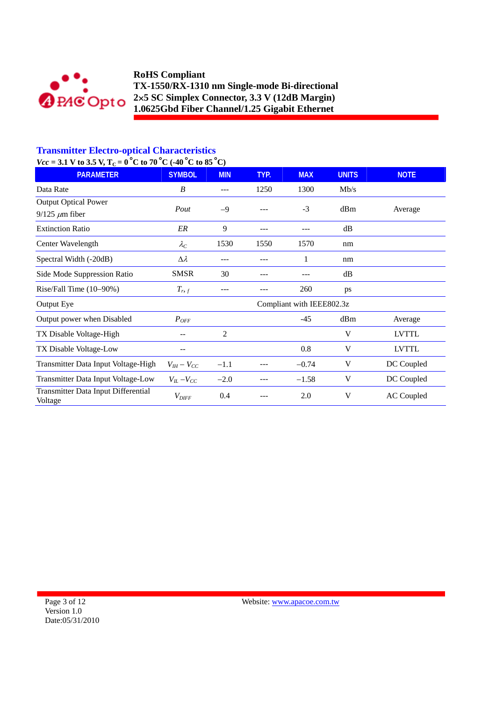

# **Transmitter Electro-optical Characteristics**

 $Vcc = 3.1$  V to 3.5 V, T<sub>C</sub> = 0<sup>°</sup>C to 70<sup>°</sup>C (-40<sup>°</sup>C to 85<sup>°</sup>C)

| <b>PARAMETER</b>                               | <b>SYMBOL</b>       | <b>MIN</b>     | TYP. | <b>MAX</b>                | <b>UNITS</b> | <b>NOTE</b>       |
|------------------------------------------------|---------------------|----------------|------|---------------------------|--------------|-------------------|
| Data Rate                                      | B                   | ---            | 1250 | 1300                      | Mb/s         |                   |
| <b>Output Optical Power</b>                    | Pout                | $-9$           |      | $-3$                      | dBm          | Average           |
| $9/125 \ \mu m$ fiber                          |                     |                |      |                           |              |                   |
| <b>Extinction Ratio</b>                        | ER                  | 9              | ---  |                           | dB           |                   |
| Center Wavelength                              | $\lambda_C$         | 1530           | 1550 | 1570                      | nm           |                   |
| Spectral Width (-20dB)                         | $\Delta \lambda$    | ---            | ---  | 1                         | nm           |                   |
| Side Mode Suppression Ratio                    | <b>SMSR</b>         | 30             | ---  |                           | dB           |                   |
| Rise/Fall Time (10-90%)                        | $T_{r,f}$           | ---            |      | 260                       | ps           |                   |
| Output Eye                                     |                     |                |      | Compliant with IEEE802.3z |              |                   |
| Output power when Disabled                     | $P_{OFF}$           |                |      | $-45$                     | dBm          | Average           |
| TX Disable Voltage-High                        |                     | $\overline{2}$ |      |                           | V            | <b>LVTTL</b>      |
| TX Disable Voltage-Low                         |                     |                |      | 0.8                       | V            | <b>LVTTL</b>      |
| Transmitter Data Input Voltage-High            | $V_{IH} - V_{CC}$   | $-1.1$         |      | $-0.74$                   | V            | DC Coupled        |
| Transmitter Data Input Voltage-Low             | $V_{IL}$ – $V_{CC}$ | $-2.0$         |      | $-1.58$                   | V            | DC Coupled        |
| Transmitter Data Input Differential<br>Voltage | $V_{\mathit{DIFF}}$ | 0.4            |      | 2.0                       | V            | <b>AC Coupled</b> |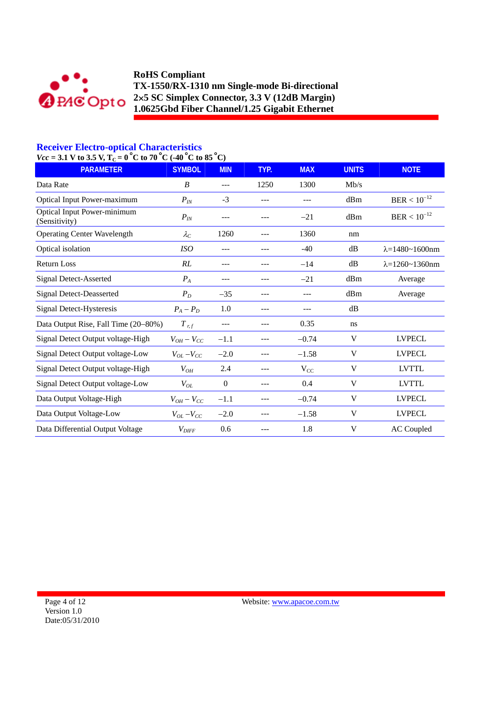

# **Receiver Electro-optical Characteristics**

 $Vcc = 3.1$  V to 3.5 V,  $T_c = 0$  °C to 70 °C (-40 °C to 85 °C)

| $-9.1$ Y to $9.5$ Y, $1() - 0$ C to $70$ C (-T0 C to $0.9$<br><b>PARAMETER</b> | <b>SYMBOL</b>       | <b>MIN</b> | TYP. | <b>MAX</b> | <b>UNITS</b> | <b>NOTE</b>                   |
|--------------------------------------------------------------------------------|---------------------|------------|------|------------|--------------|-------------------------------|
| Data Rate                                                                      | B                   | $---$      | 1250 | 1300       | Mb/s         |                               |
| <b>Optical Input Power-maximum</b>                                             | $P_{IN}$            | $-3$       | ---  | ---        | dBm          | $BER < 10^{-12}$              |
| <b>Optical Input Power-minimum</b><br>(Sensitivity)                            | $P_{IN}$            |            |      | $-21$      | dBm          | $BER < 10^{-12}$              |
| <b>Operating Center Wavelength</b>                                             | $\lambda_C$         | 1260       | ---  | 1360       | nm           |                               |
| Optical isolation                                                              | ISO                 |            |      | $-40$      | dB           | $\lambda = 1480 - 1600$ nm    |
| <b>Return Loss</b>                                                             | RL                  | ---        | ---  | $-14$      | dB           | $\lambda = 1260 \sim 1360$ nm |
| <b>Signal Detect-Asserted</b>                                                  | $P_{A}$             | ---        | ---  | $-21$      | dBm          | Average                       |
| <b>Signal Detect-Deasserted</b>                                                | $P_D$               | $-35$      |      | ---        | dBm          | Average                       |
| Signal Detect-Hysteresis                                                       | $P_A - P_D$         | 1.0        |      |            | dB           |                               |
| Data Output Rise, Fall Time (20-80%)                                           | $T$ r, f            | ---        |      | 0.35       | ns           |                               |
| Signal Detect Output voltage-High                                              | $V_{OH}-V_{CC}$     | $-1.1$     |      | $-0.74$    | V            | <b>LVPECL</b>                 |
| Signal Detect Output voltage-Low                                               | $V_{OL}$ – $V_{CC}$ | $-2.0$     |      | $-1.58$    | V            | <b>LVPECL</b>                 |
| Signal Detect Output voltage-High                                              | $V_{OH}$            | 2.4        |      | $V_{CC}$   | V            | <b>LVTTL</b>                  |
| Signal Detect Output voltage-Low                                               | $V_{OL}$            | $\theta$   |      | 0.4        | V            | <b>LVTTL</b>                  |
| Data Output Voltage-High                                                       | $V_{OH}-V_{CC}$     | $-1.1$     |      | $-0.74$    | V            | <b>LVPECL</b>                 |
| Data Output Voltage-Low                                                        | $V_{OL}$ – $V_{CC}$ | $-2.0$     |      | $-1.58$    | V            | <b>LVPECL</b>                 |
| Data Differential Output Voltage                                               | $V_{DIFF}$          | 0.6        |      | 1.8        | V            | <b>AC</b> Coupled             |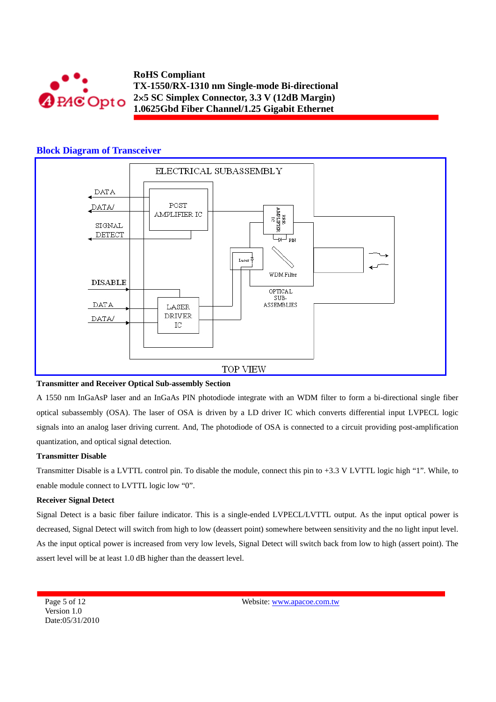

### **Block Diagram of Transceiver**



#### **Transmitter and Receiver Optical Sub-assembly Section**

A 1550 nm InGaAsP laser and an InGaAs PIN photodiode integrate with an WDM filter to form a bi-directional single fiber optical subassembly (OSA). The laser of OSA is driven by a LD driver IC which converts differential input LVPECL logic signals into an analog laser driving current. And, The photodiode of OSA is connected to a circuit providing post-amplification quantization, and optical signal detection.

#### **Transmitter Disable**

Transmitter Disable is a LVTTL control pin. To disable the module, connect this pin to +3.3 V LVTTL logic high "1". While, to enable module connect to LVTTL logic low "0".

#### **Receiver Signal Detect**

Signal Detect is a basic fiber failure indicator. This is a single-ended LVPECL/LVTTL output. As the input optical power is decreased, Signal Detect will switch from high to low (deassert point) somewhere between sensitivity and the no light input level. As the input optical power is increased from very low levels, Signal Detect will switch back from low to high (assert point). The assert level will be at least 1.0 dB higher than the deassert level.

Page 5 of 12 Version 1.0 Date:05/31/2010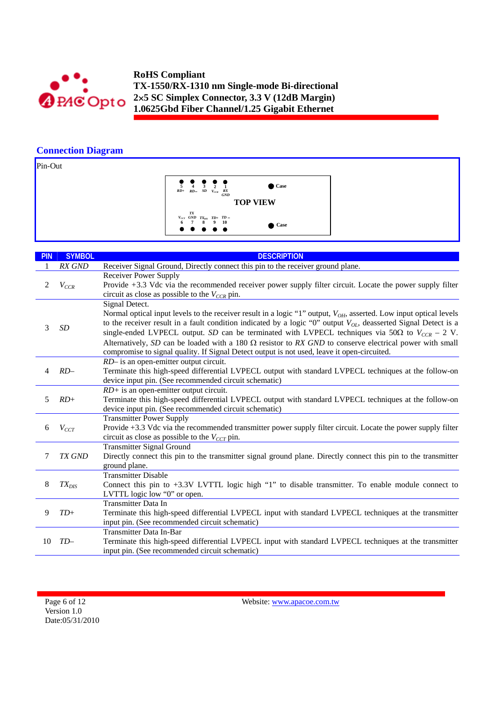

# **Connection Diagram**

Pin-Out

| $\frac{1}{5}$ $\frac{1}{4}$ $\frac{1}{3}$ $\frac{1}{2}$ $\frac{1}{1}$<br>$RD+RD-SDV_{CCR}$ |  | RX<br><b>GND</b> | $\bullet$ Case  |
|--------------------------------------------------------------------------------------------|--|------------------|-----------------|
|                                                                                            |  |                  | <b>TOP VIEW</b> |
| TX<br>$V_{CCT}$ GND $TX_{DIS}$ TD+ TD -                                                    |  |                  |                 |
| 6 7 8 9 10                                                                                 |  |                  | Case            |

| <b>PIN</b>     | <b>SYMBOL</b>                                         | <b>DESCRIPTION</b>                                                                                                                              |
|----------------|-------------------------------------------------------|-------------------------------------------------------------------------------------------------------------------------------------------------|
|                | RX GND                                                | Receiver Signal Ground, Directly connect this pin to the receiver ground plane.                                                                 |
|                |                                                       | <b>Receiver Power Supply</b>                                                                                                                    |
| $\overline{c}$ | $V_{CCR}$                                             | Provide +3.3 Vdc via the recommended receiver power supply filter circuit. Locate the power supply filter                                       |
|                |                                                       | circuit as close as possible to the $V_{CCR}$ pin.                                                                                              |
|                |                                                       | Signal Detect.                                                                                                                                  |
|                |                                                       | Normal optical input levels to the receiver result in a logic "1" output, $V_{OH}$ , asserted. Low input optical levels                         |
| 3              | SD                                                    | to the receiver result in a fault condition indicated by a logic "0" output $V_{OL}$ , deasserted Signal Detect is a                            |
|                |                                                       | single-ended LVPECL output. SD can be terminated with LVPECL techniques via 50 $\Omega$ to $V_{CCR}$ – 2 V.                                     |
|                |                                                       | Alternatively, SD can be loaded with a 180 $\Omega$ resistor to RX GND to conserve electrical power with small                                  |
|                |                                                       | compromise to signal quality. If Signal Detect output is not used, leave it open-circuited.                                                     |
|                | $RD-$<br>4                                            | RD- is an open-emitter output circuit.                                                                                                          |
|                |                                                       | Terminate this high-speed differential LVPECL output with standard LVPECL techniques at the follow-on                                           |
|                | device input pin. (See recommended circuit schematic) |                                                                                                                                                 |
|                |                                                       | $RD$ + is an open-emitter output circuit.                                                                                                       |
| 5.             | $RD+$                                                 | Terminate this high-speed differential LVPECL output with standard LVPECL techniques at the follow-on                                           |
|                |                                                       | device input pin. (See recommended circuit schematic)                                                                                           |
| 6              |                                                       | <b>Transmitter Power Supply</b><br>Provide +3.3 Vdc via the recommended transmitter power supply filter circuit. Locate the power supply filter |
|                | $V_{CCT}$                                             | circuit as close as possible to the $V_{CCT}$ pin.                                                                                              |
|                |                                                       | <b>Transmitter Signal Ground</b>                                                                                                                |
| 7              | TX GND                                                | Directly connect this pin to the transmitter signal ground plane. Directly connect this pin to the transmitter                                  |
|                |                                                       | ground plane.                                                                                                                                   |
|                |                                                       | Transmitter Disable                                                                                                                             |
| 8              | $TX_{DIS}$                                            | Connect this pin to $+3.3V$ LVTTL logic high "1" to disable transmitter. To enable module connect to                                            |
|                |                                                       | LVTTL logic low "0" or open.                                                                                                                    |
|                |                                                       | Transmitter Data In                                                                                                                             |
| 9              | $TD+$                                                 | Terminate this high-speed differential LVPECL input with standard LVPECL techniques at the transmitter                                          |
|                |                                                       | input pin. (See recommended circuit schematic)                                                                                                  |
|                |                                                       | Transmitter Data In-Bar                                                                                                                         |
| 10             | $TD-$                                                 | Terminate this high-speed differential LVPECL input with standard LVPECL techniques at the transmitter                                          |
|                |                                                       | input pin. (See recommended circuit schematic)                                                                                                  |

Page 6 of 12 Version 1.0 Date:05/31/2010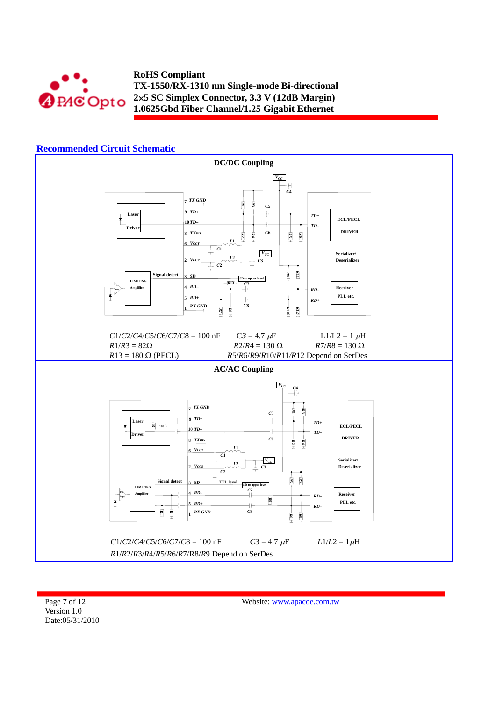



Page 7 of 12 Version 1.0 Date:05/31/2010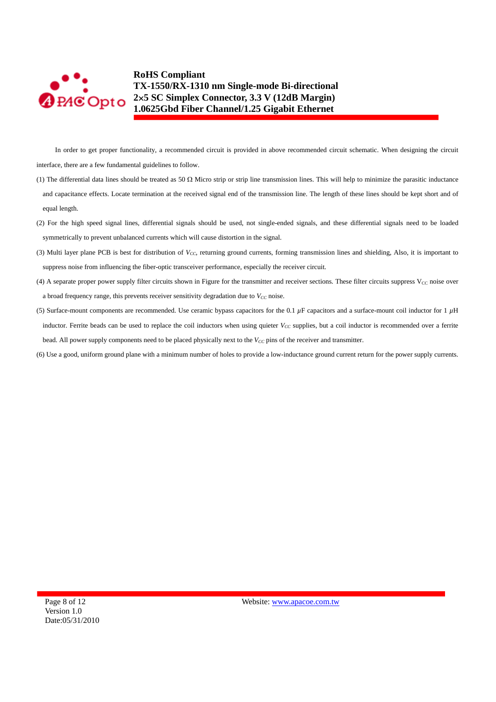

In order to get proper functionality, a recommended circuit is provided in above recommended circuit schematic. When designing the circuit interface, there are a few fundamental guidelines to follow.

- (1) The differential data lines should be treated as 50  $\Omega$  Micro strip or strip line transmission lines. This will help to minimize the parasitic inductance and capacitance effects. Locate termination at the received signal end of the transmission line. The length of these lines should be kept short and of equal length.
- (2) For the high speed signal lines, differential signals should be used, not single-ended signals, and these differential signals need to be loaded symmetrically to prevent unbalanced currents which will cause distortion in the signal.
- (3) Multi layer plane PCB is best for distribution of *V<sub>CC</sub>*, returning ground currents, forming transmission lines and shielding, Also, it is important to suppress noise from influencing the fiber-optic transceiver performance, especially the receiver circuit.
- (4) A separate proper power supply filter circuits shown in Figure for the transmitter and receiver sections. These filter circuits suppress  $V_{CC}$  noise over a broad frequency range, this prevents receiver sensitivity degradation due to  $V_{CC}$  noise.
- (5) Surface-mount components are recommended. Use ceramic bypass capacitors for the 0.1 *µ*F capacitors and a surface-mount coil inductor for 1 *µ*H inductor. Ferrite beads can be used to replace the coil inductors when using quieter  $V_{CC}$  supplies, but a coil inductor is recommended over a ferrite bead. All power supply components need to be placed physically next to the  $V_{CC}$  pins of the receiver and transmitter.
- (6) Use a good, uniform ground plane with a minimum number of holes to provide a low-inductance ground current return for the power supply currents.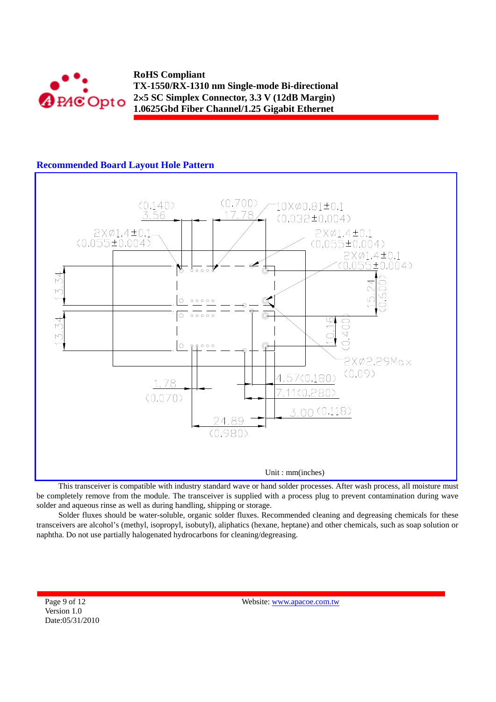

# **Recommended Board Layout Hole Pattern**



This transceiver is compatible with industry standard wave or hand solder processes. After wash process, all moisture must be completely remove from the module. The transceiver is supplied with a process plug to prevent contamination during wave solder and aqueous rinse as well as during handling, shipping or storage.

Solder fluxes should be water-soluble, organic solder fluxes. Recommended cleaning and degreasing chemicals for these transceivers are alcohol's (methyl, isopropyl, isobutyl), aliphatics (hexane, heptane) and other chemicals, such as soap solution or naphtha. Do not use partially halogenated hydrocarbons for cleaning/degreasing.

Page 9 of 12 Version 1.0 Date:05/31/2010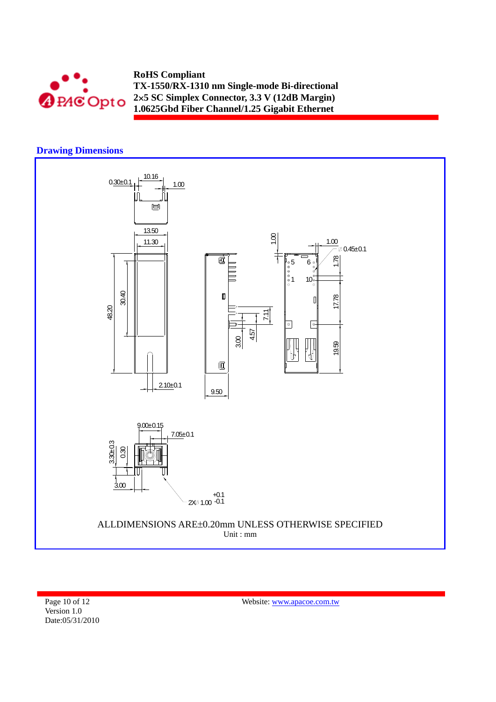

## **Drawing Dimensions**



Page 10 of 12 Version 1.0 Date:05/31/2010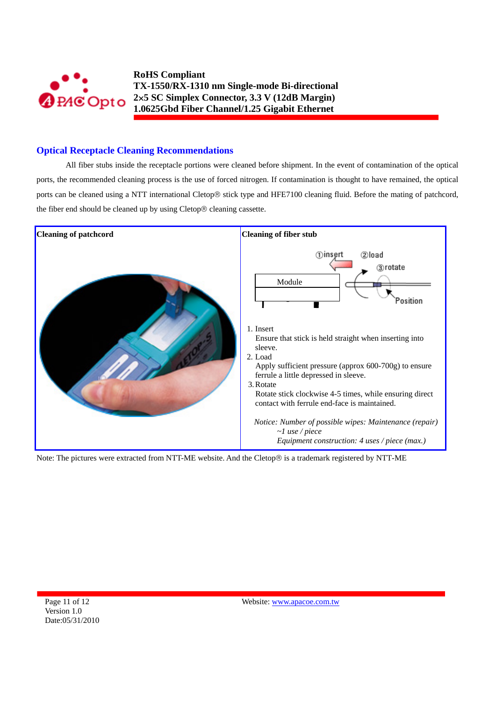

# **Optical Receptacle Cleaning Recommendations**

All fiber stubs inside the receptacle portions were cleaned before shipment. In the event of contamination of the optical ports, the recommended cleaning process is the use of forced nitrogen. If contamination is thought to have remained, the optical ports can be cleaned using a NTT international Cletop® stick type and HFE7100 cleaning fluid. Before the mating of patchcord, the fiber end should be cleaned up by using Cletop® cleaning cassette.



Note: The pictures were extracted from NTT-ME website. And the Cletop® is a trademark registered by NTT-ME